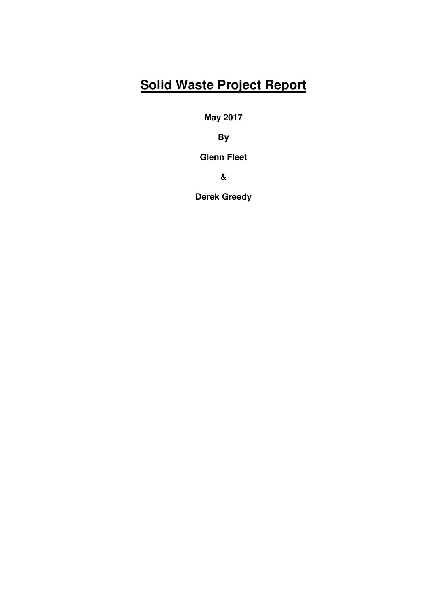# **Solid Waste Project Report**

**May 2017** 

**By** 

**Glenn Fleet** 

**&** 

**Derek Greedy**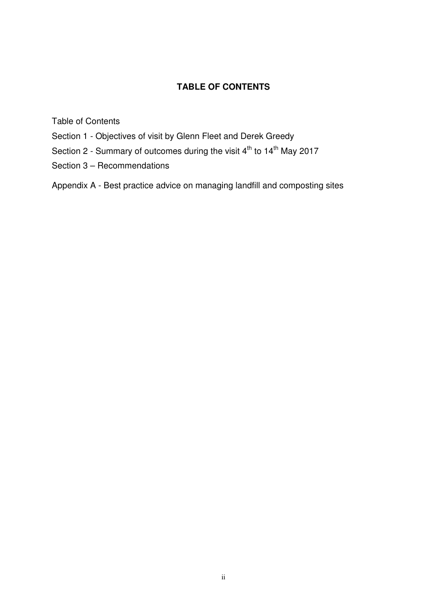# **TABLE OF CONTENTS**

Table of Contents

- Section 1 Objectives of visit by Glenn Fleet and Derek Greedy
- Section 2 Summary of outcomes during the visit  $4<sup>th</sup>$  to  $14<sup>th</sup>$  May 2017
- Section 3 Recommendations

Appendix A - Best practice advice on managing landfill and composting sites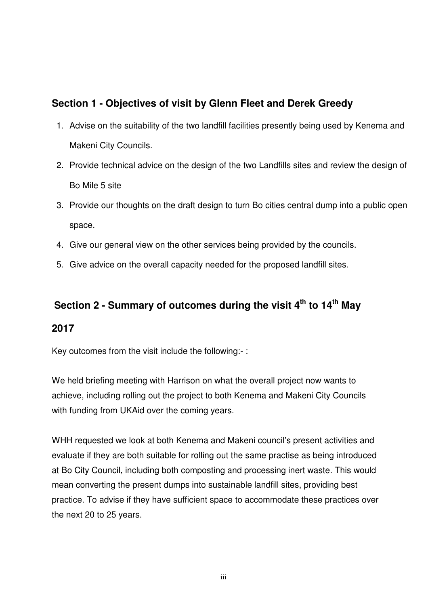# **Section 1 - Objectives of visit by Glenn Fleet and Derek Greedy**

- 1. Advise on the suitability of the two landfill facilities presently being used by Kenema and Makeni City Councils.
- 2. Provide technical advice on the design of the two Landfills sites and review the design of Bo Mile 5 site
- 3. Provide our thoughts on the draft design to turn Bo cities central dump into a public open space.
- 4. Give our general view on the other services being provided by the councils.
- 5. Give advice on the overall capacity needed for the proposed landfill sites.

# **Section 2 - Summary of outcomes during the visit 4th to 14th May**

# **2017**

Key outcomes from the visit include the following:- :

We held briefing meeting with Harrison on what the overall project now wants to achieve, including rolling out the project to both Kenema and Makeni City Councils with funding from UKAid over the coming years.

WHH requested we look at both Kenema and Makeni council's present activities and evaluate if they are both suitable for rolling out the same practise as being introduced at Bo City Council, including both composting and processing inert waste. This would mean converting the present dumps into sustainable landfill sites, providing best practice. To advise if they have sufficient space to accommodate these practices over the next 20 to 25 years.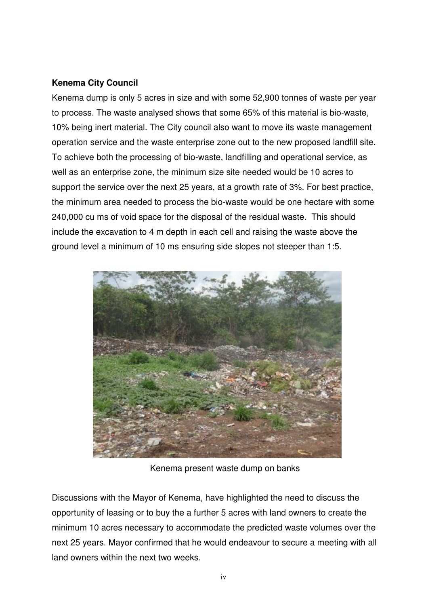# **Kenema City Council**

Kenema dump is only 5 acres in size and with some 52,900 tonnes of waste per year to process. The waste analysed shows that some 65% of this material is bio-waste, 10% being inert material. The City council also want to move its waste management operation service and the waste enterprise zone out to the new proposed landfill site. To achieve both the processing of bio-waste, landfilling and operational service, as well as an enterprise zone, the minimum size site needed would be 10 acres to support the service over the next 25 years, at a growth rate of 3%. For best practice, the minimum area needed to process the bio-waste would be one hectare with some 240,000 cu ms of void space for the disposal of the residual waste. This should include the excavation to 4 m depth in each cell and raising the waste above the ground level a minimum of 10 ms ensuring side slopes not steeper than 1:5.



Kenema present waste dump on banks

Discussions with the Mayor of Kenema, have highlighted the need to discuss the opportunity of leasing or to buy the a further 5 acres with land owners to create the minimum 10 acres necessary to accommodate the predicted waste volumes over the next 25 years. Mayor confirmed that he would endeavour to secure a meeting with all land owners within the next two weeks.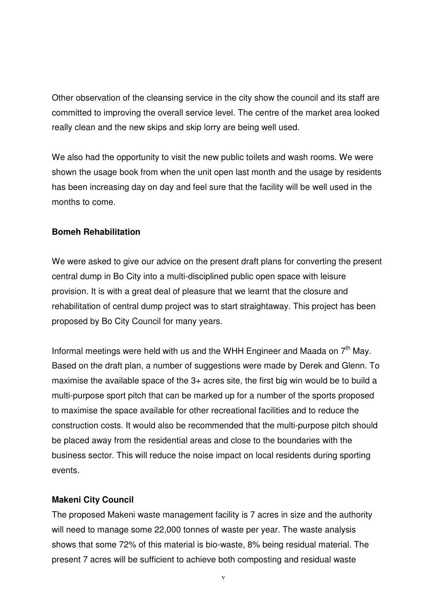Other observation of the cleansing service in the city show the council and its staff are committed to improving the overall service level. The centre of the market area looked really clean and the new skips and skip lorry are being well used.

We also had the opportunity to visit the new public toilets and wash rooms. We were shown the usage book from when the unit open last month and the usage by residents has been increasing day on day and feel sure that the facility will be well used in the months to come.

## **Bomeh Rehabilitation**

We were asked to give our advice on the present draft plans for converting the present central dump in Bo City into a multi-disciplined public open space with leisure provision. It is with a great deal of pleasure that we learnt that the closure and rehabilitation of central dump project was to start straightaway. This project has been proposed by Bo City Council for many years.

Informal meetings were held with us and the WHH Engineer and Maada on  $7<sup>th</sup>$  May. Based on the draft plan, a number of suggestions were made by Derek and Glenn. To maximise the available space of the 3+ acres site, the first big win would be to build a multi-purpose sport pitch that can be marked up for a number of the sports proposed to maximise the space available for other recreational facilities and to reduce the construction costs. It would also be recommended that the multi-purpose pitch should be placed away from the residential areas and close to the boundaries with the business sector. This will reduce the noise impact on local residents during sporting events.

## **Makeni City Council**

The proposed Makeni waste management facility is 7 acres in size and the authority will need to manage some 22,000 tonnes of waste per year. The waste analysis shows that some 72% of this material is bio-waste, 8% being residual material. The present 7 acres will be sufficient to achieve both composting and residual waste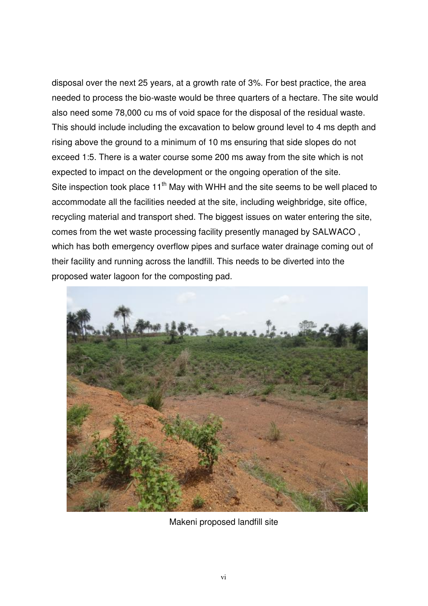disposal over the next 25 years, at a growth rate of 3%. For best practice, the area needed to process the bio-waste would be three quarters of a hectare. The site would also need some 78,000 cu ms of void space for the disposal of the residual waste. This should include including the excavation to below ground level to 4 ms depth and rising above the ground to a minimum of 10 ms ensuring that side slopes do not exceed 1:5. There is a water course some 200 ms away from the site which is not expected to impact on the development or the ongoing operation of the site. Site inspection took place  $11<sup>th</sup>$  May with WHH and the site seems to be well placed to accommodate all the facilities needed at the site, including weighbridge, site office, recycling material and transport shed. The biggest issues on water entering the site, comes from the wet waste processing facility presently managed by SALWACO , which has both emergency overflow pipes and surface water drainage coming out of their facility and running across the landfill. This needs to be diverted into the proposed water lagoon for the composting pad.



Makeni proposed landfill site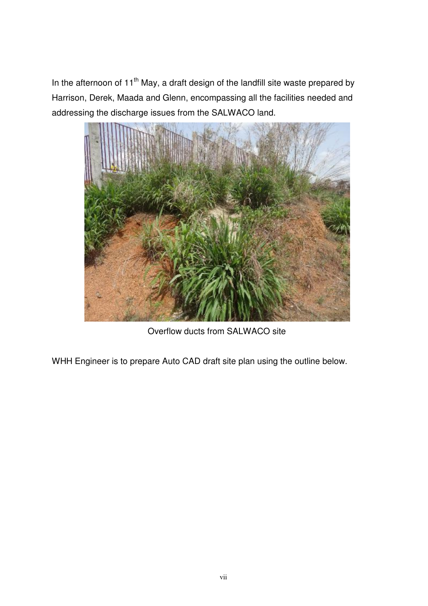In the afternoon of 11<sup>th</sup> May, a draft design of the landfill site waste prepared by Harrison, Derek, Maada and Glenn, encompassing all the facilities needed and addressing the discharge issues from the SALWACO land.



Overflow ducts from SALWACO site

WHH Engineer is to prepare Auto CAD draft site plan using the outline below.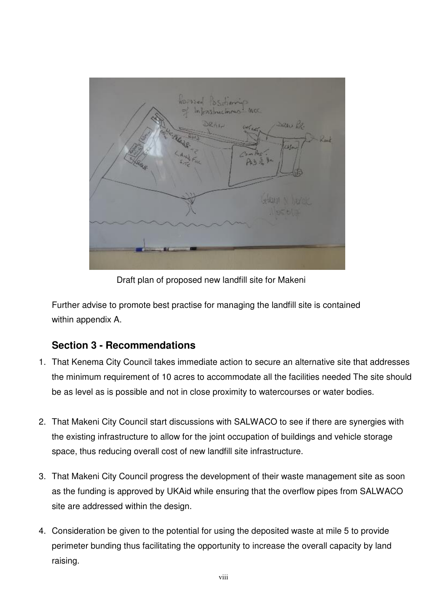

Draft plan of proposed new landfill site for Makeni

Further advise to promote best practise for managing the landfill site is contained within appendix A.

# **Section 3 - Recommendations**

- 1. That Kenema City Council takes immediate action to secure an alternative site that addresses the minimum requirement of 10 acres to accommodate all the facilities needed The site should be as level as is possible and not in close proximity to watercourses or water bodies.
- 2. That Makeni City Council start discussions with SALWACO to see if there are synergies with the existing infrastructure to allow for the joint occupation of buildings and vehicle storage space, thus reducing overall cost of new landfill site infrastructure.
- 3. That Makeni City Council progress the development of their waste management site as soon as the funding is approved by UKAid while ensuring that the overflow pipes from SALWACO site are addressed within the design.
- 4. Consideration be given to the potential for using the deposited waste at mile 5 to provide perimeter bunding thus facilitating the opportunity to increase the overall capacity by land raising.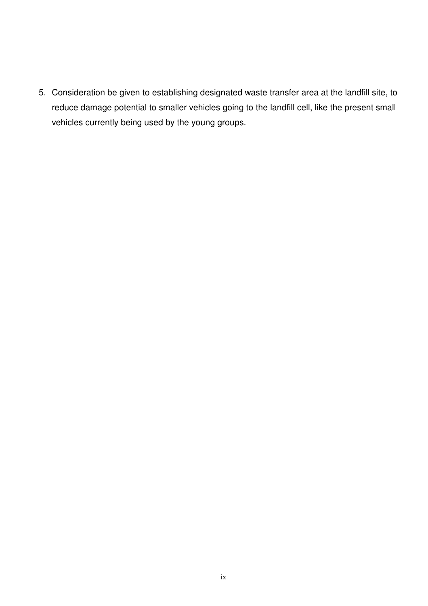5. Consideration be given to establishing designated waste transfer area at the landfill site, to reduce damage potential to smaller vehicles going to the landfill cell, like the present small vehicles currently being used by the young groups.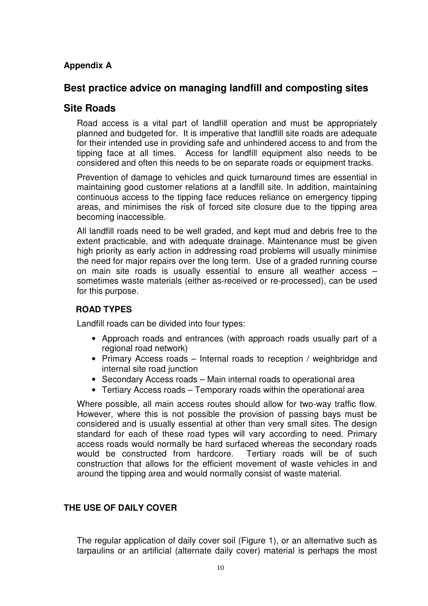# **Appendix A**

# **Best practice advice on managing landfill and composting sites**

# **Site Roads**

Road access is a vital part of landfill operation and must be appropriately planned and budgeted for. It is imperative that landfill site roads are adequate for their intended use in providing safe and unhindered access to and from the tipping face at all times. Access for landfill equipment also needs to be considered and often this needs to be on separate roads or equipment tracks.

Prevention of damage to vehicles and quick turnaround times are essential in maintaining good customer relations at a landfill site. In addition, maintaining continuous access to the tipping face reduces reliance on emergency tipping areas, and minimises the risk of forced site closure due to the tipping area becoming inaccessible.

All landfill roads need to be well graded, and kept mud and debris free to the extent practicable, and with adequate drainage. Maintenance must be given high priority as early action in addressing road problems will usually minimise the need for major repairs over the long term. Use of a graded running course on main site roads is usually essential to ensure all weather access – sometimes waste materials (either as-received or re-processed), can be used for this purpose.

#### **ROAD TYPES**

Landfill roads can be divided into four types:

- Approach roads and entrances (with approach roads usually part of a regional road network)
- Primary Access roads Internal roads to reception / weighbridge and internal site road junction
- Secondary Access roads Main internal roads to operational area
- Tertiary Access roads Temporary roads within the operational area

Where possible, all main access routes should allow for two-way traffic flow. However, where this is not possible the provision of passing bays must be considered and is usually essential at other than very small sites. The design standard for each of these road types will vary according to need. Primary access roads would normally be hard surfaced whereas the secondary roads would be constructed from hardcore. Tertiary roads will be of such construction that allows for the efficient movement of waste vehicles in and around the tipping area and would normally consist of waste material.

## **THE USE OF DAILY COVER**

The regular application of daily cover soil (Figure 1), or an alternative such as tarpaulins or an artificial (alternate daily cover) material is perhaps the most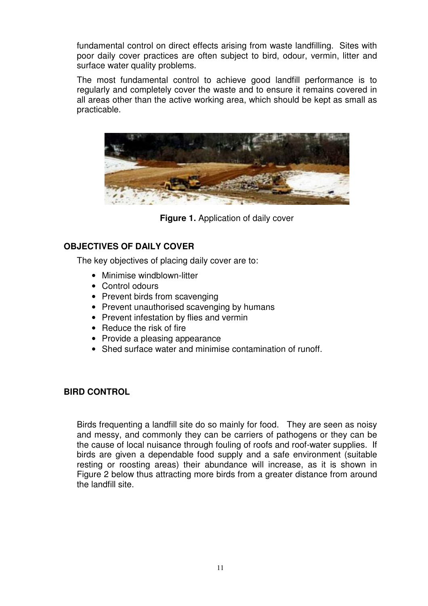fundamental control on direct effects arising from waste landfilling. Sites with poor daily cover practices are often subject to bird, odour, vermin, litter and surface water quality problems.

The most fundamental control to achieve good landfill performance is to regularly and completely cover the waste and to ensure it remains covered in all areas other than the active working area, which should be kept as small as practicable.



**Figure 1.** Application of daily cover

#### **OBJECTIVES OF DAILY COVER**

The key objectives of placing daily cover are to:

- Minimise windblown-litter
- Control odours
- Prevent birds from scavenging
- Prevent unauthorised scavenging by humans
- Prevent infestation by flies and vermin
- Reduce the risk of fire
- Provide a pleasing appearance
- Shed surface water and minimise contamination of runoff.

#### **BIRD CONTROL**

Birds frequenting a landfill site do so mainly for food. They are seen as noisy and messy, and commonly they can be carriers of pathogens or they can be the cause of local nuisance through fouling of roofs and roof-water supplies. If birds are given a dependable food supply and a safe environment (suitable resting or roosting areas) their abundance will increase, as it is shown in Figure 2 below thus attracting more birds from a greater distance from around the landfill site.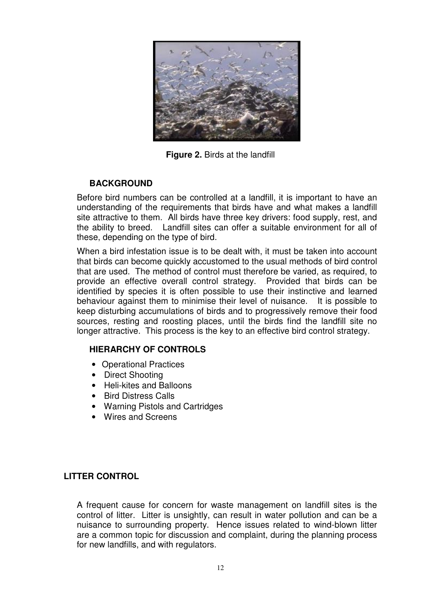

**Figure 2. Birds at the landfill** 

# **BACKGROUND**

Before bird numbers can be controlled at a landfill, it is important to have an understanding of the requirements that birds have and what makes a landfill site attractive to them. All birds have three key drivers: food supply, rest, and the ability to breed. Landfill sites can offer a suitable environment for all of these, depending on the type of bird.

When a bird infestation issue is to be dealt with, it must be taken into account that birds can become quickly accustomed to the usual methods of bird control that are used. The method of control must therefore be varied, as required, to provide an effective overall control strategy. Provided that birds can be identified by species it is often possible to use their instinctive and learned behaviour against them to minimise their level of nuisance. It is possible to keep disturbing accumulations of birds and to progressively remove their food sources, resting and roosting places, until the birds find the landfill site no longer attractive. This process is the key to an effective bird control strategy.

## **HIERARCHY OF CONTROLS**

- Operational Practices
- Direct Shooting
- Heli-kites and Balloons
- Bird Distress Calls
- Warning Pistols and Cartridges
- Wires and Screens

## **LITTER CONTROL**

A frequent cause for concern for waste management on landfill sites is the control of litter. Litter is unsightly, can result in water pollution and can be a nuisance to surrounding property. Hence issues related to wind-blown litter are a common topic for discussion and complaint, during the planning process for new landfills, and with regulators.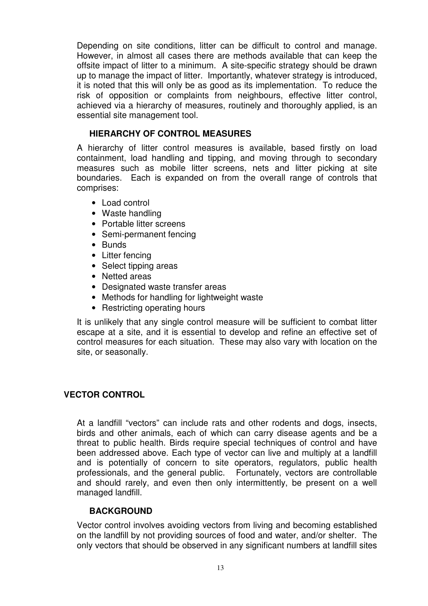Depending on site conditions, litter can be difficult to control and manage. However, in almost all cases there are methods available that can keep the offsite impact of litter to a minimum. A site-specific strategy should be drawn up to manage the impact of litter. Importantly, whatever strategy is introduced, it is noted that this will only be as good as its implementation. To reduce the risk of opposition or complaints from neighbours, effective litter control, achieved via a hierarchy of measures, routinely and thoroughly applied, is an essential site management tool.

#### **HIERARCHY OF CONTROL MEASURES**

A hierarchy of litter control measures is available, based firstly on load containment, load handling and tipping, and moving through to secondary measures such as mobile litter screens, nets and litter picking at site boundaries. Each is expanded on from the overall range of controls that comprises:

- Load control
- Waste handling
- Portable litter screens
- Semi-permanent fencing
- Bunds
- Litter fencing
- Select tipping areas
- Netted areas
- Designated waste transfer areas
- Methods for handling for lightweight waste
- Restricting operating hours

It is unlikely that any single control measure will be sufficient to combat litter escape at a site, and it is essential to develop and refine an effective set of control measures for each situation. These may also vary with location on the site, or seasonally.

#### **VECTOR CONTROL**

At a landfill "vectors" can include rats and other rodents and dogs, insects, birds and other animals, each of which can carry disease agents and be a threat to public health. Birds require special techniques of control and have been addressed above. Each type of vector can live and multiply at a landfill and is potentially of concern to site operators, regulators, public health professionals, and the general public. Fortunately, vectors are controllable and should rarely, and even then only intermittently, be present on a well managed landfill.

#### **BACKGROUND**

Vector control involves avoiding vectors from living and becoming established on the landfill by not providing sources of food and water, and/or shelter. The only vectors that should be observed in any significant numbers at landfill sites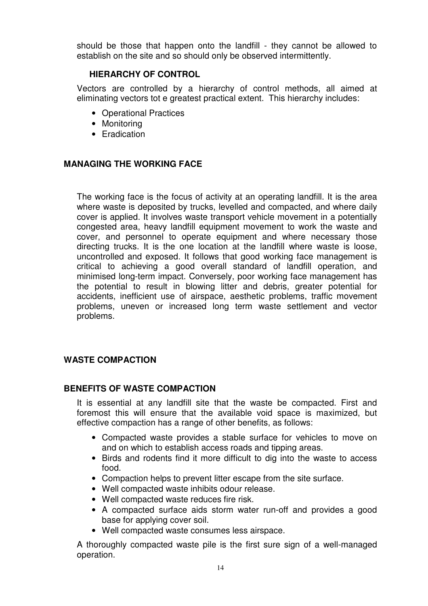should be those that happen onto the landfill - they cannot be allowed to establish on the site and so should only be observed intermittently.

#### **HIERARCHY OF CONTROL**

Vectors are controlled by a hierarchy of control methods, all aimed at eliminating vectors tot e greatest practical extent. This hierarchy includes:

- Operational Practices
- Monitoring
- Eradication

#### **MANAGING THE WORKING FACE**

The working face is the focus of activity at an operating landfill. It is the area where waste is deposited by trucks, levelled and compacted, and where daily cover is applied. It involves waste transport vehicle movement in a potentially congested area, heavy landfill equipment movement to work the waste and cover, and personnel to operate equipment and where necessary those directing trucks. It is the one location at the landfill where waste is loose, uncontrolled and exposed. It follows that good working face management is critical to achieving a good overall standard of landfill operation, and minimised long-term impact. Conversely, poor working face management has the potential to result in blowing litter and debris, greater potential for accidents, inefficient use of airspace, aesthetic problems, traffic movement problems, uneven or increased long term waste settlement and vector problems.

## **WASTE COMPACTION**

#### **BENEFITS OF WASTE COMPACTION**

It is essential at any landfill site that the waste be compacted. First and foremost this will ensure that the available void space is maximized, but effective compaction has a range of other benefits, as follows:

- Compacted waste provides a stable surface for vehicles to move on and on which to establish access roads and tipping areas.
- Birds and rodents find it more difficult to dig into the waste to access food.
- Compaction helps to prevent litter escape from the site surface.
- Well compacted waste inhibits odour release.
- Well compacted waste reduces fire risk.
- A compacted surface aids storm water run-off and provides a good base for applying cover soil.
- Well compacted waste consumes less airspace.

A thoroughly compacted waste pile is the first sure sign of a well-managed operation.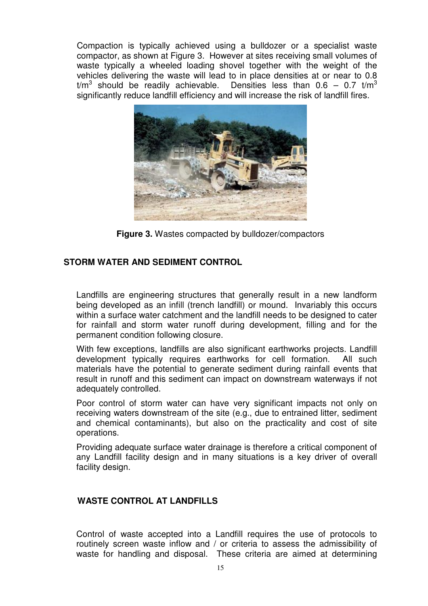Compaction is typically achieved using a bulldozer or a specialist waste compactor, as shown at Figure 3. However at sites receiving small volumes of waste typically a wheeled loading shovel together with the weight of the vehicles delivering the waste will lead to in place densities at or near to 0.8  $t/m<sup>3</sup>$  should be readily achievable. Densities less than 0.6 – 0.7 t/m<sup>3</sup> significantly reduce landfill efficiency and will increase the risk of landfill fires.



**Figure 3.** Wastes compacted by bulldozer/compactors

## **STORM WATER AND SEDIMENT CONTROL**

Landfills are engineering structures that generally result in a new landform being developed as an infill (trench landfill) or mound. Invariably this occurs within a surface water catchment and the landfill needs to be designed to cater for rainfall and storm water runoff during development, filling and for the permanent condition following closure.

With few exceptions, landfills are also significant earthworks projects. Landfill development typically requires earthworks for cell formation. All such materials have the potential to generate sediment during rainfall events that result in runoff and this sediment can impact on downstream waterways if not adequately controlled.

Poor control of storm water can have very significant impacts not only on receiving waters downstream of the site (e.g., due to entrained litter, sediment and chemical contaminants), but also on the practicality and cost of site operations.

Providing adequate surface water drainage is therefore a critical component of any Landfill facility design and in many situations is a key driver of overall facility design.

## **WASTE CONTROL AT LANDFILLS**

Control of waste accepted into a Landfill requires the use of protocols to routinely screen waste inflow and / or criteria to assess the admissibility of waste for handling and disposal. These criteria are aimed at determining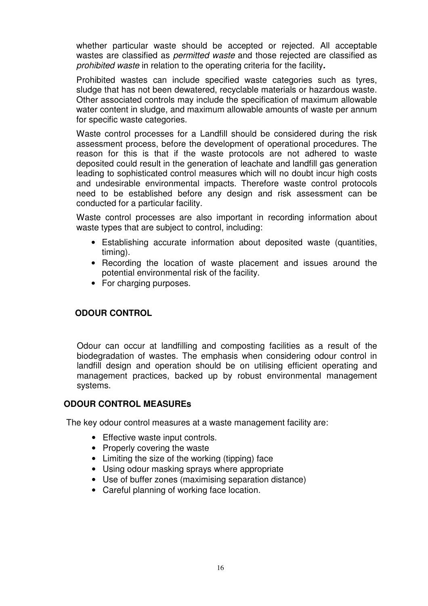whether particular waste should be accepted or rejected. All acceptable wastes are classified as *permitted waste* and those rejected are classified as prohibited waste in relation to the operating criteria for the facility**.** 

Prohibited wastes can include specified waste categories such as tyres, sludge that has not been dewatered, recyclable materials or hazardous waste. Other associated controls may include the specification of maximum allowable water content in sludge, and maximum allowable amounts of waste per annum for specific waste categories.

Waste control processes for a Landfill should be considered during the risk assessment process, before the development of operational procedures. The reason for this is that if the waste protocols are not adhered to waste deposited could result in the generation of leachate and landfill gas generation leading to sophisticated control measures which will no doubt incur high costs and undesirable environmental impacts. Therefore waste control protocols need to be established before any design and risk assessment can be conducted for a particular facility.

Waste control processes are also important in recording information about waste types that are subject to control, including:

- Establishing accurate information about deposited waste (quantities, timing).
- Recording the location of waste placement and issues around the potential environmental risk of the facility.
- For charging purposes.

#### **ODOUR CONTROL**

Odour can occur at landfilling and composting facilities as a result of the biodegradation of wastes. The emphasis when considering odour control in landfill design and operation should be on utilising efficient operating and management practices, backed up by robust environmental management systems.

#### **ODOUR CONTROL MEASUREs**

The key odour control measures at a waste management facility are:

- Effective waste input controls.
- Properly covering the waste
- Limiting the size of the working (tipping) face
- Using odour masking sprays where appropriate
- Use of buffer zones (maximising separation distance)
- Careful planning of working face location.